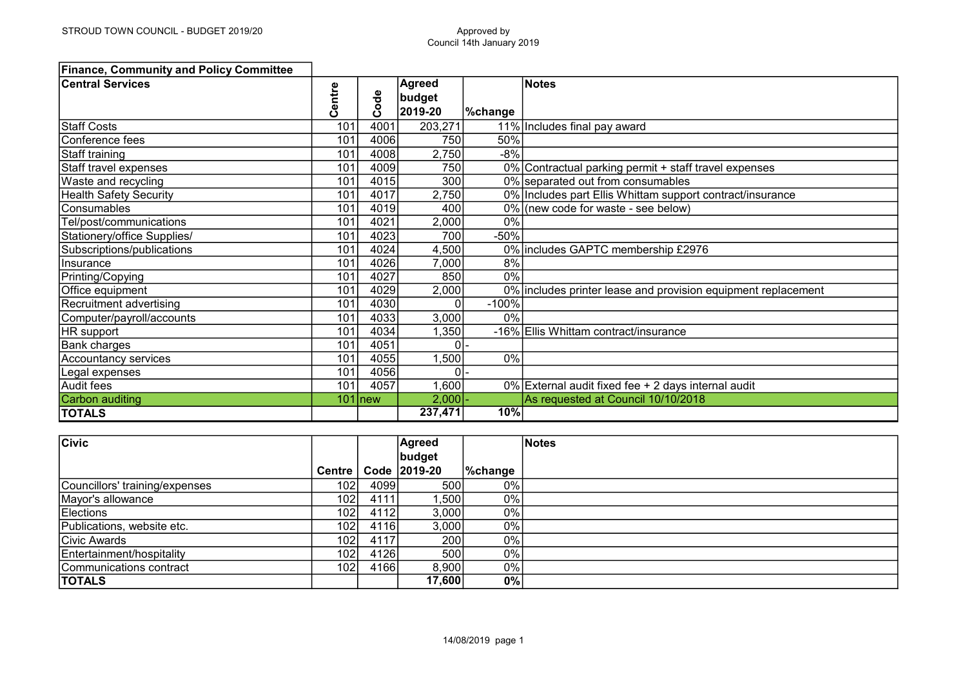| <b>Finance, Community and Policy Committee</b> |        |           |                                    |                |                                                               |
|------------------------------------------------|--------|-----------|------------------------------------|----------------|---------------------------------------------------------------|
| <b>Central Services</b>                        | Centre | Code      | <b>Agreed</b><br>budget<br>2019-20 | <b>%change</b> | <b>Notes</b>                                                  |
| <b>Staff Costs</b>                             | 101    | 4001      | 203,271                            |                | 11% Includes final pay award                                  |
| Conference fees                                | 101    | 4006      | 750                                | 50%            |                                                               |
| Staff training                                 | 101    | 4008      | 2,750                              | $-8%$          |                                                               |
| Staff travel expenses                          | 101    | 4009      | 750                                |                | 0% Contractual parking permit + staff travel expenses         |
| Waste and recycling                            | 101    | 4015      | 300                                |                | 0% separated out from consumables                             |
| <b>Health Safety Security</b>                  | 101    | 4017      | 2,750                              |                | 0% Includes part Ellis Whittam support contract/insurance     |
| Consumables                                    | 101    | 4019      | 400                                |                | 0% (new code for waste - see below)                           |
| Tel/post/communications                        | 101    | 4021      | 2,000                              | 0%             |                                                               |
| Stationery/office Supplies/                    | 101    | 4023      | 700                                | $-50%$         |                                                               |
| Subscriptions/publications                     | 101    | 4024      | 4,500                              |                | 0% includes GAPTC membership £2976                            |
| IInsurance                                     | 101    | 4026      | 7,000                              | 8%             |                                                               |
| Printing/Copying                               | 101    | 4027      | 850                                | 0%             |                                                               |
| Office equipment                               | 101    | 4029      | 2,000                              |                | 0% includes printer lease and provision equipment replacement |
| Recruitment advertising                        | 101    | 4030      | ∩                                  | $-100%$        |                                                               |
| Computer/payroll/accounts                      | 101    | 4033      | 3,000                              | 0%             |                                                               |
| HR support                                     | 101    | 4034      | ,350                               |                | -16% Ellis Whittam contract/insurance                         |
| Bank charges                                   | 101    | 4051      | 0                                  |                |                                                               |
| Accountancy services                           | 101    | 4055      | 1,500                              | 0%             |                                                               |
| Legal expenses                                 | 101    | 4056      | $\Omega$                           |                |                                                               |
| Audit fees                                     | 101    | 4057      | 1,600                              |                | 0% External audit fixed fee + 2 days internal audit           |
| Carbon auditing                                |        | $101$ new | 2,000                              |                | As requested at Council 10/10/2018                            |
| <b>TOTALS</b>                                  |        |           | 237,471                            | 10%            |                                                               |

| <b>Civic</b>                   |                  |      | Agreed       |                    | Notes |
|--------------------------------|------------------|------|--------------|--------------------|-------|
|                                |                  |      | budget       |                    |       |
|                                | <b>Centre</b>    |      | Code 2019-20 | $\sqrt{\%}$ change |       |
| Councillors' training/expenses | 102 <sub>l</sub> | 4099 | 500l         | $0\%$              |       |
| Mayor's allowance              | 102 <sub>l</sub> | 4111 | 1,500        | 0%                 |       |
| Elections                      | 102 <sub>l</sub> | 4112 | 3,000        | 0%                 |       |
| Publications, website etc.     | 102 <sub>l</sub> | 4116 | 3,000        | $0\%$              |       |
| Civic Awards                   | 102 <sub>l</sub> | 4117 | 200          | $0\%$              |       |
| Entertainment/hospitality      | 102 <sub>l</sub> | 4126 | 500          | 0%                 |       |
| Communications contract        | 102 <sub>l</sub> | 4166 | 8,900        | $0\%$              |       |
| <b>TOTALS</b>                  |                  |      | 17,600       | 0%                 |       |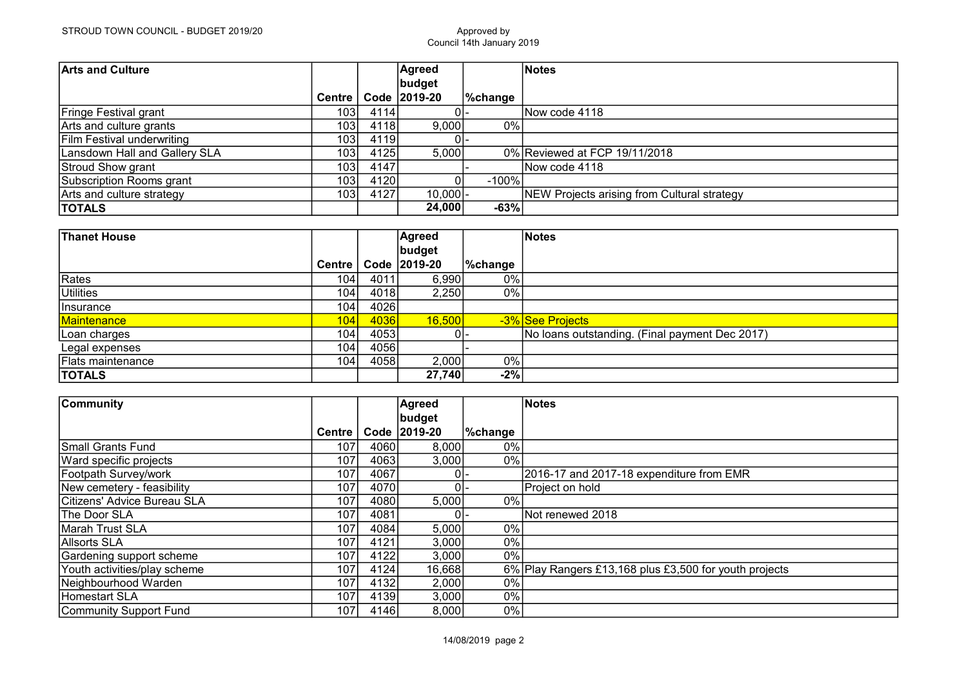| <b>Arts and Culture</b>           |                  |      | Agreed       |          | Notes                                       |
|-----------------------------------|------------------|------|--------------|----------|---------------------------------------------|
|                                   |                  |      | budget       |          |                                             |
|                                   | <b>Centre</b>    |      | Code 2019-20 | ∣%change |                                             |
| Fringe Festival grant             | 103 <sub>l</sub> | 4114 | 01-          |          | Now code 4118                               |
| Arts and culture grants           | 103              | 4118 | 9,000        | $0\%$    |                                             |
| <b>Film Festival underwriting</b> | 103              | 4119 | 0I-          |          |                                             |
| Lansdown Hall and Gallery SLA     | 1031             | 4125 | 5,000        |          | 0% Reviewed at FCP 19/11/2018               |
| Stroud Show grant                 | 103 <sub>l</sub> | 4147 |              |          | INow code 4118                              |
| Subscription Rooms grant          | 103              | 4120 |              | $-100\%$ |                                             |
| Arts and culture strategy         | 103 <sub>l</sub> | 4127 | $10,000$ -   |          | NEW Projects arising from Cultural strategy |
| <b>TOTALS</b>                     |                  |      | 24,000       | $-63%$   |                                             |

| <b>Thanet House</b>      |                  |      | Agreed       |          | Notes                                          |
|--------------------------|------------------|------|--------------|----------|------------------------------------------------|
|                          |                  |      | budget       |          |                                                |
|                          | <b>Centre</b>    |      | Code 2019-20 | ∣%change |                                                |
| Rates                    | 104              | 4011 | 6,990        | 0%       |                                                |
| Utilities                | 104 <sub>1</sub> | 4018 | 2,250        | 0%       |                                                |
| <i>Insurance</i>         | 1041             | 4026 |              |          |                                                |
| Maintenance              | 104              | 4036 | 16,500       |          | -3% See Projects                               |
| Loan charges             | 1041             | 4053 | 0I-          |          | No loans outstanding. (Final payment Dec 2017) |
| Legal expenses           | 104              | 4056 |              |          |                                                |
| <b>Flats maintenance</b> | 104              | 4058 | 2,000        | 0%       |                                                |
| <b>TOTALS</b>            |                  |      | 27,740       | $-2%$    |                                                |

| <b>Community</b>             |                  |      | <b>Agreed</b> |         | Notes                                                  |
|------------------------------|------------------|------|---------------|---------|--------------------------------------------------------|
|                              |                  |      | budget        |         |                                                        |
|                              | Centre           |      | Code 2019-20  | %change |                                                        |
| Small Grants Fund            | 107              | 4060 | 8,000         | 0%      |                                                        |
| Ward specific projects       | 107              | 4063 | 3,000         | 0%      |                                                        |
| Footpath Survey/work         | 107              | 4067 |               |         | 2016-17 and 2017-18 expenditure from EMR               |
| New cemetery - feasibility   | 107              | 4070 |               |         | Project on hold                                        |
| ICitizens' Advice Bureau SLA | 107              | 4080 | 5,000         | 0%      |                                                        |
| <b>The Door SLA</b>          | 107              | 4081 |               |         | Not renewed 2018                                       |
| Marah Trust SLA              | 107              | 4084 | 5,000         | 0%      |                                                        |
| Allsorts SLA                 | 107 <sub>1</sub> | 4121 | 3,000         | 0%      |                                                        |
| Gardening support scheme     | 107              | 4122 | 3,000         | $0\%$   |                                                        |
| Youth activities/play scheme | 107              | 4124 | 16,668        |         | 6% Play Rangers £13,168 plus £3,500 for youth projects |
| Neighbourhood Warden         | 107              | 4132 | 2,000         | 0%      |                                                        |
| Homestart SLA                | 107 <sub>1</sub> | 4139 | 3,000         | 0%      |                                                        |
| Community Support Fund       | 1071             | 4146 | 8,000         | 0%      |                                                        |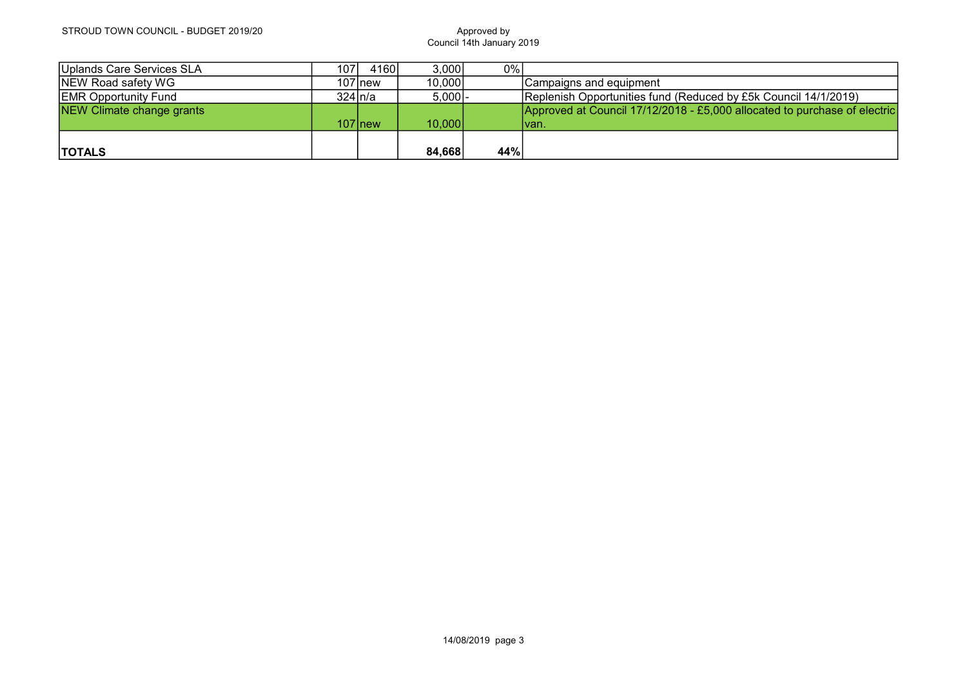| Uplands Care Services SLA   | 1071        | 4160      | 3,000     | 0%  |                                                                           |
|-----------------------------|-------------|-----------|-----------|-----|---------------------------------------------------------------------------|
| NEW Road safety WG          |             | $107$ new | 10,000    |     | Campaigns and equipment_                                                  |
| <b>EMR Opportunity Fund</b> | $324 \ln/a$ |           | $5,000$ - |     | Replenish Opportunities fund (Reduced by £5k Council 14/1/2019)           |
| NEW Climate change grants   |             |           |           |     | Approved at Council 17/12/2018 - £5,000 allocated to purchase of electric |
|                             |             | $107$ new | 10,000    |     | Ivan.                                                                     |
|                             |             |           |           |     |                                                                           |
| <b>TOTALS</b>               |             |           | 84,668    | 44% |                                                                           |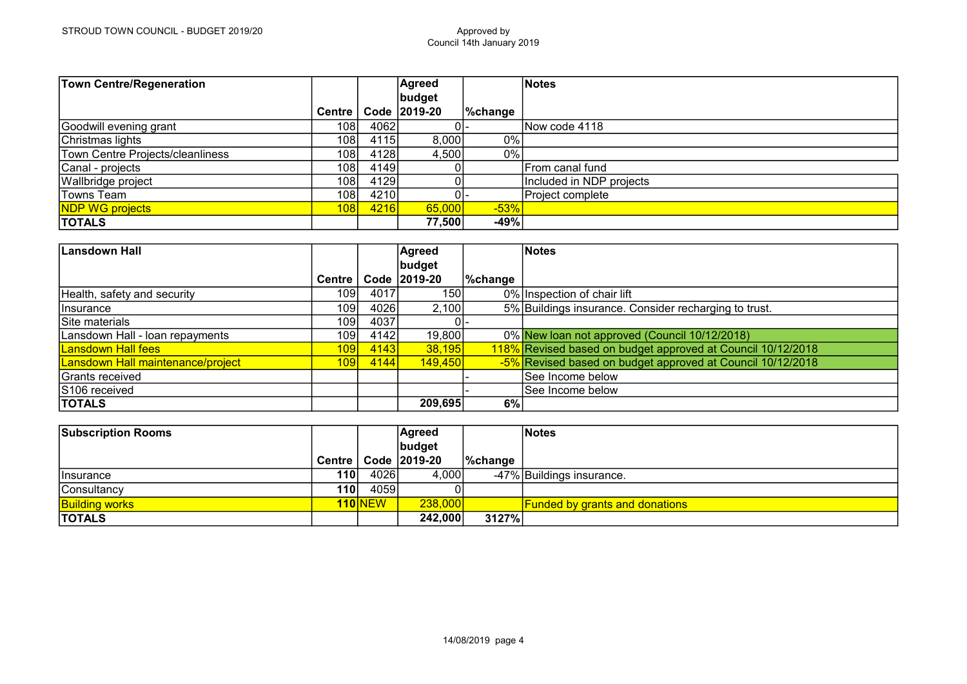| <b>Town Centre/Regeneration</b>  |                  |             | Agreed         |                    | Notes                    |
|----------------------------------|------------------|-------------|----------------|--------------------|--------------------------|
|                                  |                  |             | budget         |                    |                          |
|                                  | Centre           |             | Code   2019-20 | $\sqrt{\%}$ change |                          |
| Goodwill evening grant           | 108 <sub>1</sub> | 4062        |                |                    | Now code 4118            |
| Christmas lights                 | 108              | 4115        | 8,000          | 0%                 |                          |
| Town Centre Projects/cleanliness | 108              | 4128        | 4,500          | 0%                 |                          |
| Canal - projects                 | 108              | 4149        |                |                    | From canal fund          |
| Wallbridge project               | 108              | 4129        |                |                    | Included in NDP projects |
| ∣Towns Team                      | 1081             | 4210        |                |                    | Project complete         |
| NDP WG projects                  | 108              | <b>4216</b> | 65,000         | $-53%$             |                          |
| <b>TOTALS</b>                    |                  |             | 77,500         | $-49%$             |                          |

| Lansdown Hall                     |                  |      | Agreed         |                | Notes                                                       |
|-----------------------------------|------------------|------|----------------|----------------|-------------------------------------------------------------|
|                                   |                  |      | budget         |                |                                                             |
|                                   | Centre           |      | Code 2019-20   | <b>%change</b> |                                                             |
| Health, safety and security       | 109              | 4017 | 150l           |                | 0% Inspection of chair lift                                 |
| <b>Ilnsurance</b>                 | 109              | 4026 | 2,100          |                | 5% Buildings insurance. Consider recharging to trust.       |
| Site materials                    | 109              | 4037 |                |                |                                                             |
| Lansdown Hall - loan repayments   | 109              | 4142 | 19,800         |                | 0% New loan not approved (Council 10/12/2018)               |
| <b>Lansdown Hall fees</b>         | 109              | 4143 | 38,195         |                | 118% Revised based on budget approved at Council 10/12/2018 |
| Lansdown Hall maintenance/project | 109 <sup>l</sup> | 4144 | <b>149,450</b> |                | -5% Revised based on budget approved at Council 10/12/2018  |
| Grants received                   |                  |      |                |                | See Income below                                            |
| S106 received                     |                  |      |                |                | See Income below                                            |
| <b>TOTALS</b>                     |                  |      | 209,695        | 6%             |                                                             |

| <b>Subscription Rooms</b> |            |                | <b>Agreed</b>           |         | <b>Notes</b>                            |
|---------------------------|------------|----------------|-------------------------|---------|-----------------------------------------|
|                           |            |                | budget                  |         |                                         |
|                           |            |                | Centre   Code   2019-20 | %change |                                         |
| <b>Ilnsurance</b>         | 110        | 4026           | 4,000                   |         | -47% Buildings insurance.               |
| Consultancy               | <b>110</b> | 4059           |                         |         |                                         |
| <b>Building works</b>     |            | <b>110 NEW</b> | 238,000                 |         | <u> Funded by grants and donations_</u> |
| <b>TOTALS</b>             |            |                | 242,000                 | 3127%   |                                         |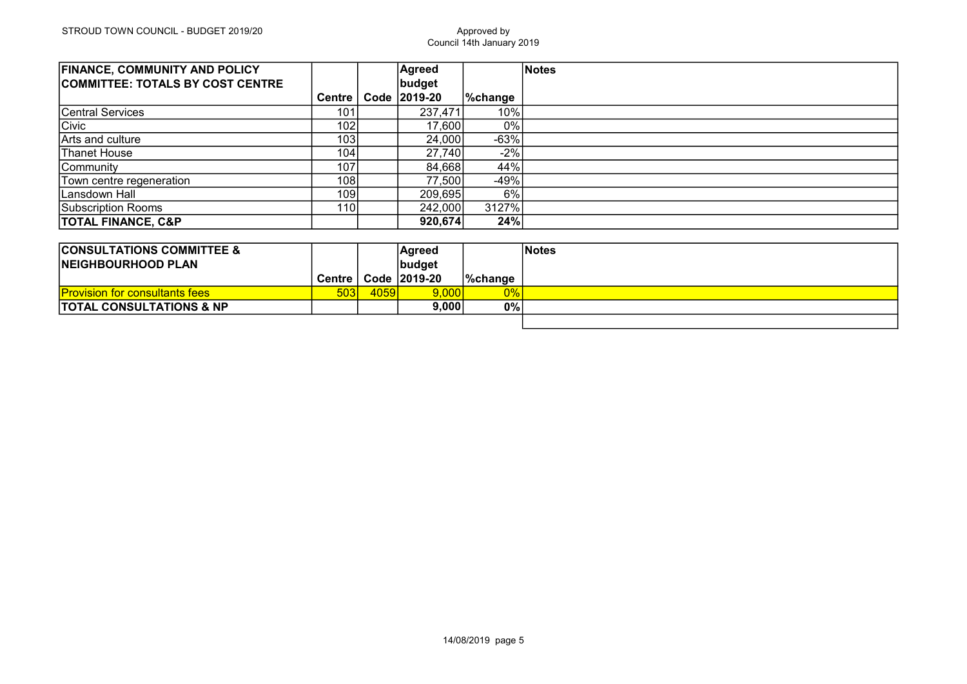| <b>FINANCE, COMMUNITY AND POLICY</b><br><b>COMMITTEE: TOTALS BY COST CENTRE</b> |                  | Agreed<br>budget |          | Notes |
|---------------------------------------------------------------------------------|------------------|------------------|----------|-------|
|                                                                                 | <b>Centre</b>    | Code 2019-20     | ∣%change |       |
| Central Services                                                                | 101              | 237,471          | 10%      |       |
| Civic                                                                           | 102 <sub>l</sub> | 17,600           | 0%       |       |
| <b>IArts and culture</b>                                                        | 103 <sub>l</sub> | 24,000           | $-63%$   |       |
| Thanet House                                                                    | 104              | 27,740           | $-2%$    |       |
| Community                                                                       | 107              | 84,668           | 44%      |       |
| Town centre regeneration                                                        | 108              | 77,500           | $-49%$   |       |
| Lansdown Hall                                                                   | 109              | 209,695          | 6%       |       |
| Subscription Rooms                                                              | 110              | 242,000          | 3127%    |       |
| <b>TOTAL FINANCE, C&amp;P</b>                                                   |                  | 920,674          | 24%      |       |

| <b>CONSULTATIONS COMMITTEE &amp;</b><br><b>INEIGHBOURHOOD PLAN</b> |        |      | Aqreed<br> budget |                   | <b>Notes</b> |
|--------------------------------------------------------------------|--------|------|-------------------|-------------------|--------------|
|                                                                    | Centre |      | Code 2019-20      | $\sqrt{6}$ change |              |
| <b>Provision for consultants fees</b>                              | 503    | 4059 | 9,000             | $0\%$             |              |
| <b>TOTAL CONSULTATIONS &amp; NP</b>                                |        |      | 9.000             | $0\%$             |              |
|                                                                    |        |      |                   |                   |              |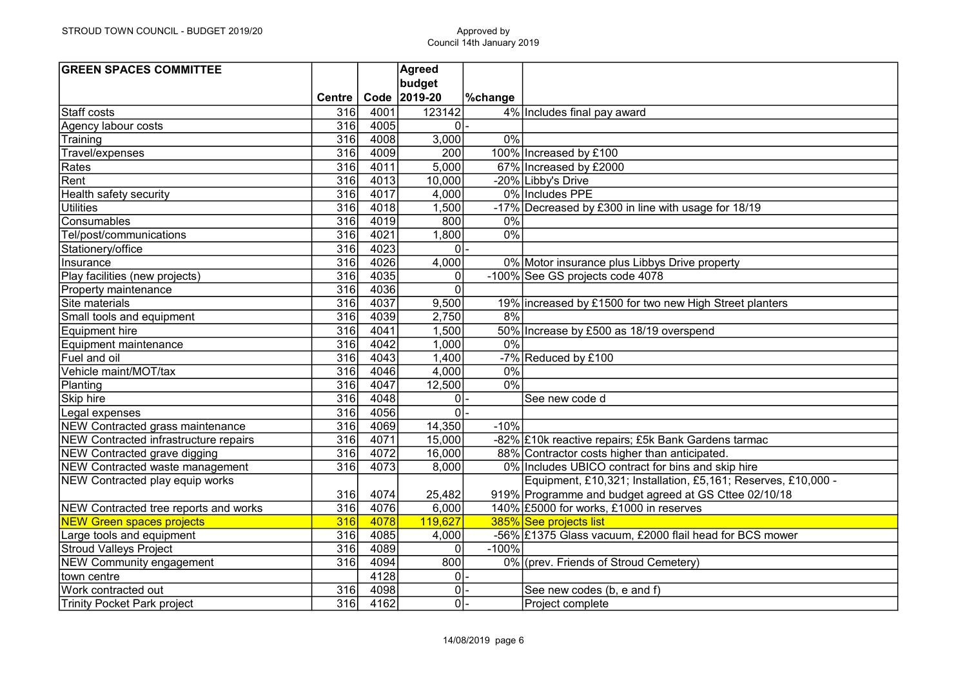| <b>GREEN SPACES COMMITTEE</b>         |                  |      | <b>Agreed</b>  |                |                                                               |
|---------------------------------------|------------------|------|----------------|----------------|---------------------------------------------------------------|
|                                       |                  |      | budget         |                |                                                               |
|                                       | Centre           | Code | 2019-20        | <b>%change</b> |                                                               |
| Staff costs                           | 316              | 4001 | 123142         |                | 4% Includes final pay award                                   |
| Agency labour costs                   | 316              | 4005 | 0              |                |                                                               |
| Training                              | 316              | 4008 | 3,000          | $0\%$          |                                                               |
| Travel/expenses                       | 316              | 4009 | 200            |                | 100% Increased by £100                                        |
| Rates                                 | 316              | 4011 | 5,000          |                | 67% Increased by £2000                                        |
| Rent                                  | 316              | 4013 | 10,000         |                | -20% Libby's Drive                                            |
| Health safety security                | 316              | 4017 | 4,000          |                | 0% Includes PPE                                               |
| <b>Utilities</b>                      | 316              | 4018 | 1,500          |                | -17% Decreased by £300 in line with usage for 18/19           |
| Consumables                           | 316              | 4019 | 800            | $0\%$          |                                                               |
| Tel/post/communications               | 316              | 4021 | 1,800          | $0\%$          |                                                               |
| Stationery/office                     | 316              | 4023 | nI-            |                |                                                               |
| Insurance                             | 316              | 4026 | 4,000          |                | 0% Motor insurance plus Libbys Drive property                 |
| Play facilities (new projects)        | 316              | 4035 | $\overline{0}$ |                | -100% See GS projects code 4078                               |
| Property maintenance                  | 316              | 4036 | $\overline{0}$ |                |                                                               |
| Site materials                        | $\overline{316}$ | 4037 | 9,500          |                | 19% increased by £1500 for two new High Street planters       |
| Small tools and equipment             | 316              | 4039 | 2,750          | 8%             |                                                               |
| Equipment hire                        | 316              | 4041 | 1,500          |                | 50% Increase by £500 as 18/19 overspend                       |
| Equipment maintenance                 | 316              | 4042 | 1,000          | 0%             |                                                               |
| Fuel and oil                          | 316              | 4043 | 1,400          |                | -7% Reduced by £100                                           |
| Vehicle maint/MOT/tax                 | 316              | 4046 | 4,000          | 0%             |                                                               |
| Planting                              | 316              | 4047 | 12,500         | 0%             |                                                               |
| Skip hire                             | 316              | 4048 | 0              |                | See new code d                                                |
| Legal expenses                        | 316              | 4056 | $\overline{0}$ |                |                                                               |
| NEW Contracted grass maintenance      | 316              | 4069 | 14,350         | $-10%$         |                                                               |
| NEW Contracted infrastructure repairs | 316              | 4071 | 15,000         |                | -82% £10k reactive repairs; £5k Bank Gardens tarmac           |
| NEW Contracted grave digging          | 316              | 4072 | 16,000         |                | 88% Contractor costs higher than anticipated.                 |
| NEW Contracted waste management       | $\overline{316}$ | 4073 | 8,000          |                | 0% Includes UBICO contract for bins and skip hire             |
| NEW Contracted play equip works       |                  |      |                |                | Equipment, £10,321; Installation, £5,161; Reserves, £10,000 - |
|                                       | 316              | 4074 | 25,482         |                | 919% Programme and budget agreed at GS Cttee 02/10/18         |
| NEW Contracted tree reports and works | 316              | 4076 | 6,000          |                | 140% £5000 for works, £1000 in reserves                       |
| <b>NEW Green spaces projects</b>      | 316              | 4078 | 119,627        |                | 385% See projects list                                        |
| Large tools and equipment             | 316              | 4085 | 4,000          |                | -56% £1375 Glass vacuum, £2000 flail head for BCS mower       |
| <b>Stroud Valleys Project</b>         | 316              | 4089 | 0              | $-100%$        |                                                               |
| NEW Community engagement              | 316              | 4094 | 800            |                | 0% (prev. Friends of Stroud Cemetery)                         |
| town centre                           |                  | 4128 | $\overline{0}$ |                |                                                               |
| Work contracted out                   | 316              | 4098 | οl             |                | See new codes (b, e and f)                                    |
| Trinity Pocket Park project           | 316              | 4162 | 0              |                | Project complete                                              |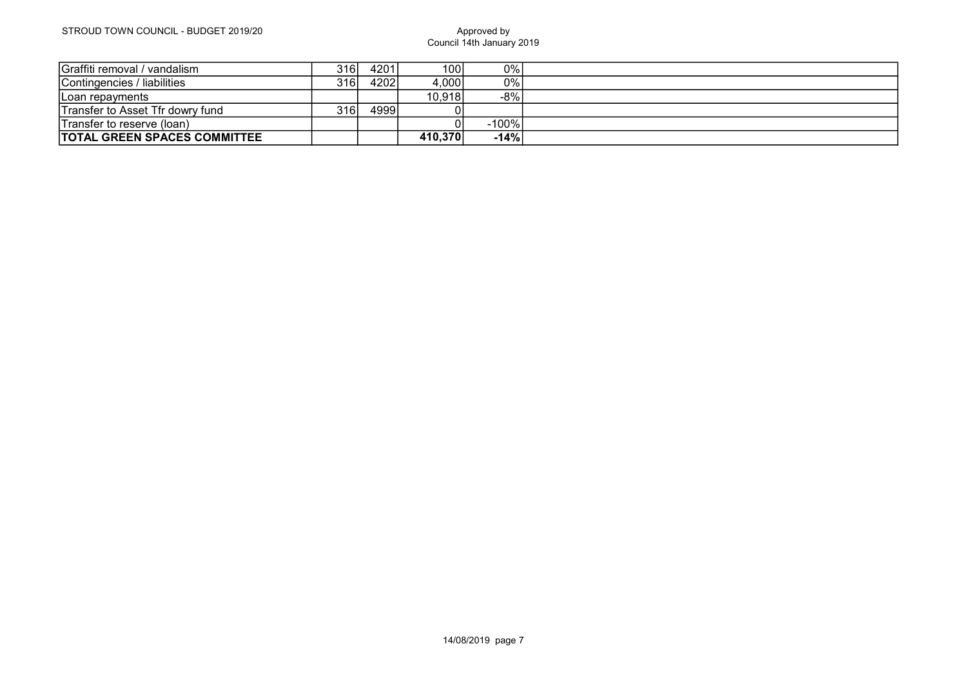| Graffiti removal / vandalism        | 316 I            | 4201 | 100     | 0%     |  |
|-------------------------------------|------------------|------|---------|--------|--|
| Contingencies / liabilities         | 316I             | 4202 | 4,000   | 0%     |  |
| Loan repayments                     |                  |      | 10,918  | $-8%$  |  |
| Transfer to Asset Tfr dowry fund    | 316 <sub>l</sub> | 4999 |         |        |  |
| Transfer to reserve (loan)          |                  |      |         | -100%  |  |
| <b>TOTAL GREEN SPACES COMMITTEE</b> |                  |      | 410,370 | $-14%$ |  |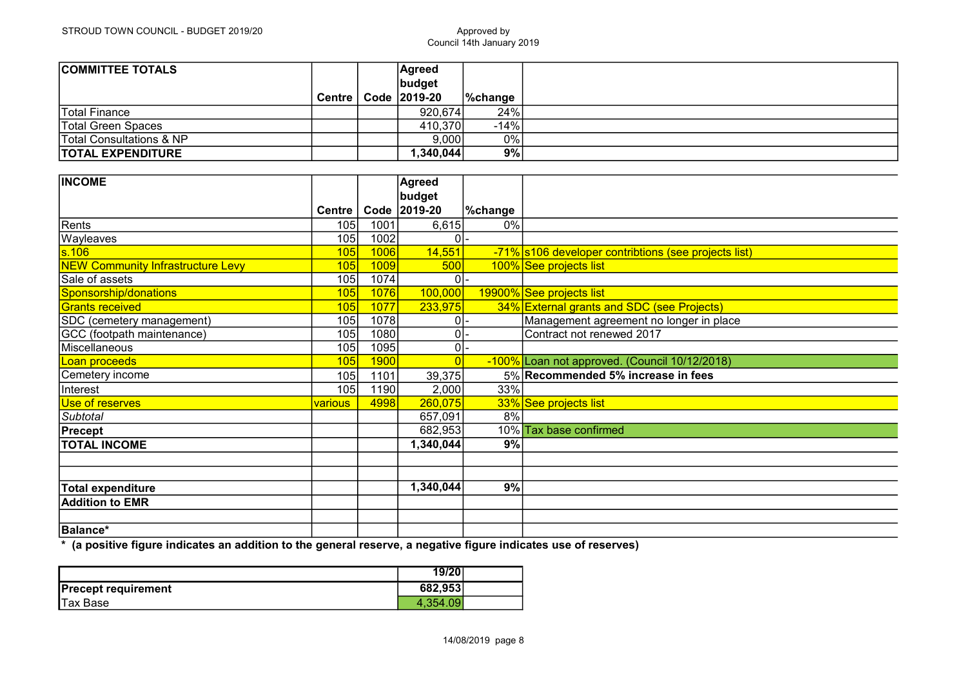| <b>COMMITTEE TOTALS</b>             |               | Agreed       |             |  |
|-------------------------------------|---------------|--------------|-------------|--|
|                                     |               | budget       |             |  |
|                                     | <b>Centre</b> | Code 2019-20 | $\%$ change |  |
| Total Finance                       |               | 920,674      | 24%         |  |
| Total Green Spaces                  |               | 410,370      | $-14%$      |  |
| <b>Total Consultations &amp; NP</b> |               | 9,000        | 0%          |  |
| <b>TOTAL EXPENDITURE</b>            |               | ,340,044     | 9%          |  |

| <b>INCOME</b>                            |                |      | Agreed         |         |                                                      |
|------------------------------------------|----------------|------|----------------|---------|------------------------------------------------------|
|                                          |                |      | budget         |         |                                                      |
|                                          | <b>Centre</b>  | Code | 2019-20        | %change |                                                      |
| Rents                                    | 105            | 1001 | 6,615          | $0\%$   |                                                      |
| Wayleaves                                | 105            | 1002 | 0              |         |                                                      |
| $\overline{\text{s.106}}$                | 105            | 1006 | 14,551         |         | -71% s106 developer contribtions (see projects list) |
| <b>NEW Community Infrastructure Levy</b> | 105            | 1009 | 500            |         | 100% See projects list                               |
| Sale of assets                           | 105            | 1074 | 0l             |         |                                                      |
| Sponsorship/donations                    | 105            | 1076 | 100,000        |         | 19900% See projects list                             |
| <b>Grants received</b>                   | 105            | 1077 | 233,975        |         | 34% External grants and SDC (see Projects)           |
| SDC (cemetery management)                | 105            | 1078 | 0              |         | Management agreement no longer in place              |
| GCC (footpath maintenance)               | 105            | 1080 | 0              |         | Contract not renewed 2017                            |
| Miscellaneous                            | 105            | 1095 | 0              |         |                                                      |
| Loan proceeds                            | 105            | 1900 | $\overline{0}$ |         | -100% Loan not approved. (Council 10/12/2018)        |
| Cemetery income                          | 105            | 1101 | 39,375         |         | 5% Recommended 5% increase in fees                   |
| Interest                                 | 105            | 1190 | 2,000          | 33%     |                                                      |
| Use of reserves                          | <b>various</b> | 4998 | 260,075        |         | 33% See projects list                                |
| Subtotal                                 |                |      | 657,091        | 8%      |                                                      |
| Precept                                  |                |      | 682,953        |         | 10% Tax base confirmed                               |
| <b>TOTAL INCOME</b>                      |                |      | 1,340,044      | 9%      |                                                      |
|                                          |                |      |                |         |                                                      |
|                                          |                |      |                |         |                                                      |
| <b>Total expenditure</b>                 |                |      | 1,340,044      | 9%      |                                                      |
| <b>Addition to EMR</b>                   |                |      |                |         |                                                      |
|                                          |                |      |                |         |                                                      |
| Balance*                                 |                |      |                |         |                                                      |

\* (a positive figure indicates an addition to the general reserve, a negative figure indicates use of reserves)

|                            | 19/20    |  |
|----------------------------|----------|--|
| <b>Precept requirement</b> | 682,953  |  |
| Tax Base                   | 4.354.09 |  |